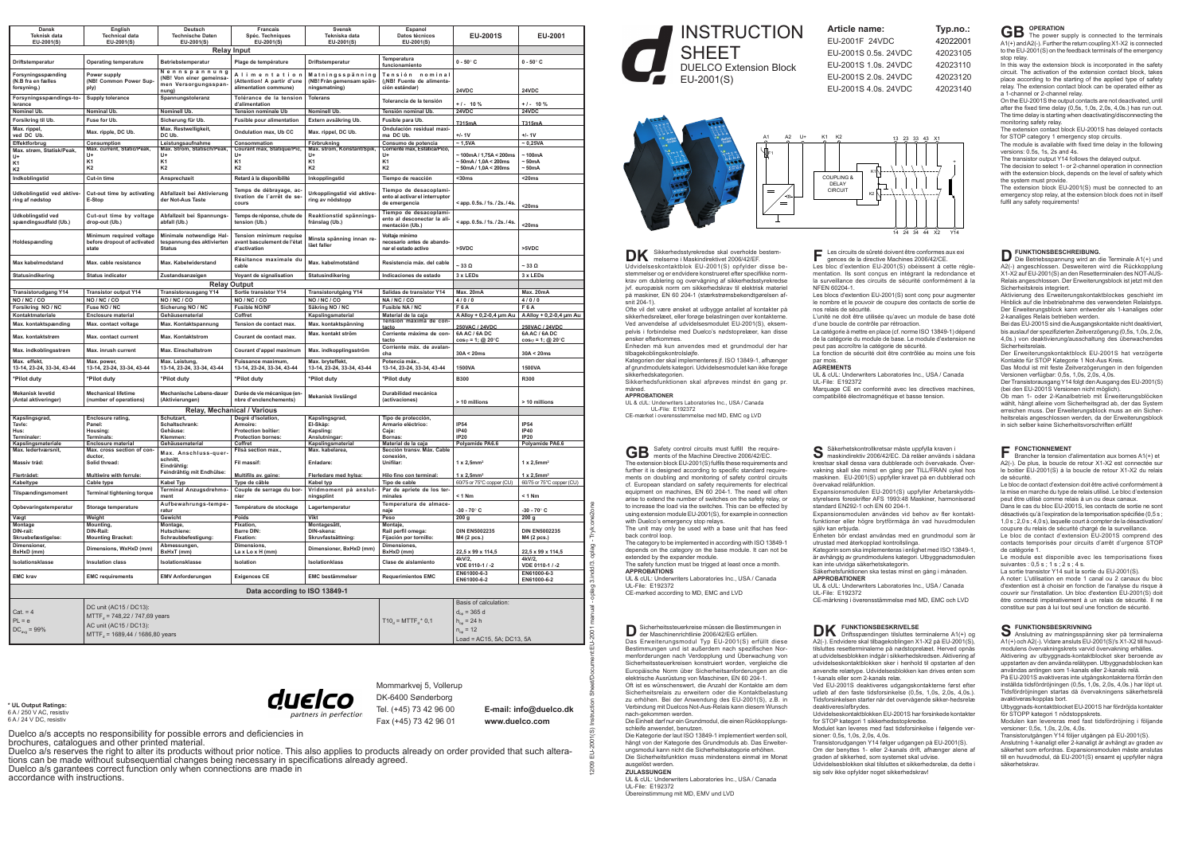12/09 EU-2001(S) Instruction Sheet/Document:EU-2001 manual - oplag 3.indd/3. oplag - Tryk:one2one

 $\frac{1}{n}$ 2/09

INSTRUCTION **SHEET** DUELCO Extension Block EU-2001(S)

The category to be implemented in according with ISO 13849-1 depends on the category on the base module. It can not be extended by the expander module. The safety function must be trigged at least once a month.

UL-File: E192372 CE-marked according to MD, EMC and LVD

**D** Sicherheitssteuerkreise müssen die Bestimmungen in<br>der Maschinenrichtlinie 2006/42/EG erfüllen.<br>DREIMENTER FLUR FLUR FLUR FLUR die Statte dieser Das Erweiterungsmodul Typ EU-2001(S) erfüllt diese Bestimmungen und ist außerdem nach spezifischen Normenforderungen nach Verdopplung und Überwachung von Sicherheitssteuerkreisen konstruiert worden, vergleiche die Europäische Norm über Sicherheitsanforderungen an die

The unit may only be used with a base unit that has feed back control loop.

hängt von der Kategorie des Grundmoduls ab. Das Erweiterungsmodul kann nicht die Sicherheitskategorie erhöhen. Die Sicherheitsfunktion muss mindenstens einmal im Monat ausgelöst werden.

**APPROBATIONS**

UL & cUL: Underwriters Laboratories Inc., USA / Canada

**DK** Sikkerhedsstyrekredse skal overholde bestem-<br>Detailed bestehted bestem-<br>Legal over the skal overholder and the skal over the skal over the skal over the skal over the skal over the sk Udvidelseskontaktblok EU-2001(S) opfylder disse bestemmelser og er endvidere konstrueret efter specifikke normkrav om dublering og overvågning af sikkerhedsstyrekredse jvf. europæisk norm om sikkerhedskrav til elektrisk materiel på maskiner, EN 60 204-1 (stærkstrømsbekendtgørelsen afsnit 204-1).

elektrische Ausrüstung von Maschinen, EN 60 204-1. Oft ist es wünschenswert, die Anzahl der Kontakte am dem Sicherheitsrelais zu erweitern oder die Kontaktbelastung zu erhöhen. Bei der Anwendung des EU-2001(S), z.B. in Verbindung mit Duelcos Not-Aus-Relais kann diesem Wunsch nach-gekommen werden.

Les circuits de sûreté doivent être conformes aux exi gences de la directive Machines 2006/42/CE. Les bloc d'extention EU-2001(S) obéissent à cette réglementation. Ils sont conçus en intégrant la redondance et la surveillance des circuits de sécurité conformément à la NFEN 60204-1.

Les blocs d'extention EU-2001(S) sont conç pour augmenter le nombre et le pouvoir de coupure des contacts de sortie de nos relais de sécurité.

Die Einheit darf nur ein Grundmodul, die einen Rückkopplungsschleife anwendet, benutzen. Die Kategorie der laut ISO 13849-1 implementiert werden soll,

## **ZULASSUNGEN**

UL & cUL: Underwriters Laboratories Inc., USA / Canada UL-File: E192372

Übereinstimmung mit MD, EMV und LVD

Säkerhetskontrollkretsar måste uppfylla kraven i<br>Samaskindirektiv 2006/42/EC. Då reläer används i sådana krestsar skall dessa vara dubblerade och övervakade. Övervakning skall ske minst en gång per TILL/FRAN cykel hos maskinen. EU-2001(S) uppfyller kravet på en dubblerad och övervakad reläfunktion. Expansionsmodulen EU-2001(S) uppfyller Arbetarskyddsstyrelsens foreskrifter AFS 1993:48 Maskiner, harmoniserad standard EN292-1 och EN 60 204-1. Expansionsmodulen användes vid behov av fler kontaktfunktioner eller högre brytförmåga än vad huvudmodulen själv kan erbjuda.

tilsluttes resetterminalerne på nødstoprelæet. Herved opnås at udvidelsesblokken indgår i sikkerhedskredsen.Aktivering af udvidelseskontaktblokken sker i henhold til opstarten af den anvendte relætype. Udvidelsesblokken kan drives enten som 1-kanals eller som 2-kanals relæ. Ved EU-2001S deaktiveres udgangskontakterne først efter udløb af den faste tidsforsinkelse (0,5s, 1,0s, 2,0s, 4,0s.).

Ofte vil det være ønsket at udbygge antallet af kontakter på sikkerhedsrelæet, eller forøge belastningen over kontakterne. Ved anvendelse af udvidelsesmodulet EU-2001(S), eksempelvis i forbindelse med Duelco's nødstoprelæer, kan disse ønsker efterkommes.

Enheden må kun anvendes med et grundmodul der har tilbagekoblingskontrolsløjfe.

Kategorien der skal implementeres jf. ISO 13849-1, afhænger af grundmodulets kategori. Udvidelsesmodulet kan ikke forøge sikkerhedskategorien.

Sikkerhedsfunktionen skal afprøves mindst én gang pr.

måned. **APPROBATIONER**

# UL & cUL: Underwriters Laboratories Inc., USA / Canada

UL-File: E192372<br>CE-mærket i overensstemmel emmelse med MD, EMC og LVD

**GB** Safety control circuits must fulfill the require-<br>The ments of the Machine Directive 2006/42/EC. The extension block EU-2001(S) fulfils these requirements and further it is designed according to specific standard requirements on doubling and monitoring of safety control circuits cf. European standard on safety requirements for electrical equipment on machines, EN 60 204-1. The need will often arise to extend the number of switches on the safety relay, or to increase the load via the switches. This can be effected by  $\mu$ using extension module EU-2001(S), for example in connection with Duelco's emergency stop relays.

> **DK** FUNKTIONSBESKRIVELSE<br>
> A2(-). Endvidere skal tilbagetkoblingen X1-X2 på EU-2001(S), **S** Anslutning av mathingsspändringen tillsluttes terminalerne A1(+) och A2(-). Vidare ansluts EU- Anslutning av matningsspänning sker på terminalerna A1(+) ochA2(-). Vidare ansluts EU-2001(S)'s X1-X2 till huvudmodulens övervakningskrets varvid övervakning erhålles.

**D FUNKTIONSBESCHREIBUNG.**<br>
(Die Betriebsspannung wird an die Terminale A1(+) und<br>
(A) Die Betriebsspannung wird an die Die Bückhopslung A2(-) angeschlossen. Desweiteren wird die Rückkopp X1-X2 auf EU-2001(S) an den Resetterminalen des NOT-AUS-Relais angeschlossen. Der Erweiterungsblock ist jetzt mit den Sicherheitskreis integriert.

L'unité ne doit être utilisée qu'avec un module de base doté d'une boucle de contrôle par rétroaction. La catégorie à mettre en place (cf. norme ISO 13849-1) dépend de la catégorie du module de base. Le module d'extension ne peut pas accroître la catégorie de sécurité.

Bei das EU-2001S sind dieAusgangskontakte nicht deaktiviert, bis auslauf der spezifizierten Zeitverzögerung (0,5s, 1,0s, 2,0s, 4,0s.) von deaktivierung/ausschaltung des überwachendes Sicherheitsrelais.

La fonction de sécurité doit être contrôlée au moins une fois

par mois. **AGREMENTS**

UL & cUL: Underwriters Laboratories Inc., USA / Canada

UL-File: E192372 Marquage CE en conformité avec les directives machines, compatibilité électromagnétique et basse tension.

**GB** OPERATION<br>A1(+) and A2(-). Further the return coupling X1-X2 is connected to the EU-2001(S) on the feedback terminals of the emergency stop relay.

In this way the extension block is incorporated in the safety circuit. The activation of the extension contact block, takes place according to the starting of the applied type of safety relay. The extension contact block can be operated either as a 1-channel or 2-channel relay.

The extension block EU-2001(S) must be connected to an emergency stop relay, at the extension block does not in itself fulfil any safety requirements!

Enheten bör endast användas med en grundmodul som är utrustad med återkopplad kontrollslinga. Kategorin som ska implementeras i enlighet med ISO 13849-1, är avhängig av grundmodulens kategori. Utbyggnadsmodulen kan inte utvidga säkerhetskategorin. Säkerhetsfunktionen ska testas minst en gång i månaden. **APPROBATIONER**

**FONCTIONNEMENT**<br> **Brancher la tension d**  Brancher la tension d'alimentation aux bornes A1(+) et A2(-). De plus, la boucle de retour X1-X2 est connectée sur le boitier EU-2001(S) à la boucle de retour X1-X2 du relais de sécurité.

UL & cUL: Underwriters Laboratories Inc., USA / Canada UL-File: E192372 CE-märkning i överensstämmelse med MD, EMC och LVD

Tidsforsinkelsen starter når det overvågende sikker-hedsrelæ deaktiveres/afbrydes. Udvidelseskontaktblokken EU-2001S har forsinkede kontakter for STOP kategori 1 sikkerhedsstopkredse. Modulet kan leveres med fast tidsforsinkelse i følgende versioner: 0,5s, 1,0s, 2,0s, 4,0s. Transistorudgangen Y14 følger udgangen på EU-2001(S). Om der benyttes 1- eller 2-kanals drift, afhænger alene af graden af sikkerhed, som systemet skal udvise.

| DС |  |
|----|--|
| ЭC |  |
| DС |  |
| ገር |  |

Udvidelsesblokken skal tilsluttes et sikkerhedsrelæ, da dette i sig selv ikke opfylder noget sikkerhedskrav!

Aktivering av utbyggnads-kontaktblocket sker beroende av uppstarten av den använda relätypen. Utbyggnadsblocken kan användas antingen som 1-kanals eller 2-kanals relä.

På EU-2001S avaktiveras inte utgångskontakterna förrän den inställda tidsfördröjningen (0,5s, 1,0s, 2,0s, 4,0s.) har löpt ut. Tidsfördröjningen startas då övervakningens säkerhetsrelä avaktiveras/kopplas bort.

Utbyggnads-kontaktblocket EU-2001S har fördröjda kontakter för STOPP kategori 1 nödstoppskrets.

Modulen kan levereras med fast tidsfördröjning i följande versioner: 0,5s, 1,0s, 2,0s, 4,0s.

Transistorutgången Y14 följer utgången på EU-2001(S). Anslutning 1-kanaligt eller 2-kanaligt är avhängt av graden av säkerhet som erfordras. Expansionsmodulen måste anslutas till en huvudmodul, då EU-2001(S) ensamt ej uppfyller några säkerhetskrav.

Aktivierung des Erweiterungskontaktblockes geschieht im Hinblick auf die Inbetriebnahme des verwendeten Relaistyps. Der Erweiterungsblock kann entweder als 1-kanaliges oder 2-kanaliges Relais betrieben werden.

Der Erweiterungskontaktblock EU-2001S hat verzögerte Kontakte für STOP Kategorie 1 Not-Aus Kreis.

Das Modul ist mit feste Zeitverzögerungen in den folgenden Versionen verfügbar: 0,5s, 1,0s, 2,0s, 4,0s.

Der Transistorausgang Y14 folgt den Ausgang des EU-2001(S)<br>(bei den EU-2001S Versionen nicht möglich).

Ob man 1- oder 2-Kanalbetrieb mit Erweiterungsblöcken wählt, hängt alleine vom Sicherheitsgrad ab, der das System erreichen muss. Der Erweiterungsblock muss an ein Sicherheitsrelais angeschlossen werden, da der Erweiterungsblock in sich selber keine Sicherheitsvorschriften erfüllt!



On the EU-2001S the output contacts are not deactivated, until after the fixed time delay  $(0, 5s, 1, 0s, 2, 0s, 4, 0s)$  has run out. The time delay is starting when deactivating/disconnecting the monitoring safety relay.

The extension contact block EU-2001S has delayed contacts for STOP category 1 emergency stop circuits. The module is available with fixed time delay in the following

versions:  $0.5s$ , 1s, 2s and 4s.

The transistor output Y14 follows the delayed output.

The decision to select 1- or 2-channel operation in connection with the extension block, depends on the level of safety which the system must provide.

Le bloc de contact d'extension doit être activé conformément à la mise en marche du type de relais utilisé. Le bloc d'extension peut être utilisé comme relais à un ou deux canaux.

Dans le cas du bloc EU-2001S, les contacts de sortie ne sont désactivés qu'à l'expiration de la temporisation spécifiée (0,5 s ; 1,0 s ; 2,0 s ; 4,0 s), laquelle court à compter de la désactivation/ coupure du relais de sécurité chargé de la surveillance.

Le bloc de contact d'extension EU-2001S comprend des contacts temporisés pour circuits d'arrêt d'urgence STOP de catégorie 1.

Le module est disponible avec les temporisations fixes suivantes  $0.5 s \cdot 1 s \cdot 2 s \cdot 4 s$ .

La sortie transistor Y14 suit la sortie du EU-2001(S).

A noter: L'utilisation en mode 1 canal ou 2 canaux du bloc d'extention est à choisir en fonction de l'analyse du risque à couvrir sur l'installation. Un bloc d'extention EU-2001(S) doit être connecté impérativement à un relais de sécurité. Il ne constitue sur pas à lui tout seul une fonction de sécurité.

Duelco a/s accepts no responsibility for possible errors and deficiencies in

brochures, catalogues and other printed material.

Duelco a/s reserves the right to alter its products without prior notice. This also applies to products already on order provided that such alterations can be made without subsequential changes being necessary in specifica

Duelco a/s garantees correct function only when connections are made in accordance with instructions.

| Dansk                         | English                                          | Deutsch                      | Francais                         | Svensk                     | Espanol                        |                                                                              |                                     |  |  |
|-------------------------------|--------------------------------------------------|------------------------------|----------------------------------|----------------------------|--------------------------------|------------------------------------------------------------------------------|-------------------------------------|--|--|
| <b>Teknisk data</b>           | <b>Technical data</b>                            | <b>Technische Daten</b>      | Spéc. Techniques                 | Tekniska data              | Datos técnicos                 | EU-2001S                                                                     | EU-2001                             |  |  |
| EU-2001(S)                    | EU-2001(S)                                       | EU-2001(S)                   | EU-2001(S)                       | EU-2001(S)                 | EU-2001(S)                     |                                                                              |                                     |  |  |
|                               |                                                  |                              |                                  |                            |                                |                                                                              |                                     |  |  |
| <b>Relay Input</b>            |                                                  |                              |                                  |                            |                                |                                                                              |                                     |  |  |
| Driftstemperatur              | <b>Operating temperature</b>                     | Betriebstemperatur           | Plage de température             | Driftstemperatur           | Temperatura                    | $0 - 50^\circ$ C                                                             | $0 - 50^\circ$ C                    |  |  |
|                               |                                                  |                              |                                  |                            | funcionamiento                 |                                                                              |                                     |  |  |
| Forsyningsspænding            | Power supply                                     | Nennspannung                 | Alimentation                     | Matningsspänning           | Tensión nominal                |                                                                              |                                     |  |  |
| (N.B fra en fælles            | (NB! Common Power Sup-                           | (NB! Von einer gemeinsa-     | (Attention! A partir d'une       | (NB! Från gemensam spän-   | (¡NB! Fuente de alimenta-      |                                                                              |                                     |  |  |
| forsyning.)                   | ply)                                             | men Versorgungsspan-         | alimentation commune)            | ningsmatning)              | ción estándar)                 |                                                                              |                                     |  |  |
|                               |                                                  | nung)                        |                                  |                            |                                | 24VDC                                                                        | 24VDC                               |  |  |
| Forsyningsspændings-to-       | <b>Supply tolerance</b>                          | Spannungstoleranz            | Tolérance de la tension          | <b>Tolerans</b>            |                                |                                                                              |                                     |  |  |
| lerance                       |                                                  |                              | d'alimentation                   |                            | Tolerancia de la tensión       | $+1 - 10%$                                                                   | $+1 - 10 \%$                        |  |  |
| Nominel Ub.                   | Nominal Ub.                                      | Nominell Ub.                 | <b>Tension nominale Ub</b>       | Nominell Ub.               | Tensión nominal Ub.            | 24VDC                                                                        | 24VDC                               |  |  |
|                               |                                                  |                              |                                  |                            |                                |                                                                              |                                     |  |  |
| Forsikring til Ub.            | Fuse for Ub.                                     | Sicherung für Ub.            | <b>Fusible pour alimentation</b> | Extern avsäkring Ub.       | Fusible para Ub.               | T315mA                                                                       | T315mA                              |  |  |
| Max. rippel,                  |                                                  | Max. Restwelligkeit,         | <b>Ondulation max. Ub CC</b>     |                            | Ondulación residual maxi-      |                                                                              |                                     |  |  |
| ved DC Ub.                    | Max. ripple, DC Ub.                              | DC Ub.                       |                                  | Max. rippel, DC Ub.        | ma DC Ub.                      | +/- 1V                                                                       | $+/- 1V$                            |  |  |
| Effektforbrug                 | Consumption                                      | Leistungsaufnahme            | Consommation                     | Förbrukning                | Consumo de potencia            | ~1,5VA                                                                       | ~0,25VA                             |  |  |
| Max. strøm, Statisk/Peak,     | Max. current, Static/Peak,                       | Max. Strom, Statisch/Peak,   | Courant max, Statique/Pic,       | Max. ström, Konstant/Spik  | Corriente max, Estática/Pico,  |                                                                              |                                     |  |  |
| U+                            | U+                                               | U+                           | U+                               | U+                         | U+                             | ~100mA/1.75A < 200ms                                                         | - 100mA                             |  |  |
| K1                            | K1                                               | K <sub>1</sub>               | K <sub>1</sub>                   | K1                         | K <sub>1</sub>                 | $\sim$ 50mA / 1,0A < 200ms                                                   | - 50 <sub>m</sub> A                 |  |  |
| K2                            | K <sub>2</sub>                                   | K <sub>2</sub>               | K <sub>2</sub>                   | K <sub>2</sub>             | K <sub>2</sub>                 | $\sim$ 50mA / 1,0A < 200ms                                                   | ~50mA                               |  |  |
|                               |                                                  |                              |                                  |                            |                                |                                                                              |                                     |  |  |
| Indkoblingstid                | Cut-in time                                      | Ansprechzeit                 | Retard à la disponibilité        | Inkopplingstid             | Tiempo de reacción             | $30ms$                                                                       | $20ms$                              |  |  |
|                               |                                                  |                              |                                  |                            |                                |                                                                              |                                     |  |  |
| Udkoblingstid ved aktive-     | Cut-out time by activating                       | Abfallzeit bei Aktivierung   | Temps de débrayage, ac-          | Urkopplingstid vid aktive- | Tiempo de desacoplami-         |                                                                              |                                     |  |  |
| ring af nødstop               | E-Stop                                           | der Not-Aus Taste            | tivation de l'arrêt de se-       | ring av nödstopp           | ento al activar el interruptor |                                                                              |                                     |  |  |
|                               |                                                  |                              | cours                            |                            | de emergencia                  | <app. 0.5s.="" 1s.="" 2s.="" 4s.<="" td=""><td><math>20ms</math></td></app.> | $20ms$                              |  |  |
|                               |                                                  |                              |                                  |                            | Tiempo de desacoplami-         |                                                                              |                                     |  |  |
| Udkoblingstid ved             | Cut-out time by voltage                          | Abfallzeit bei Spannungs-    | Temps de réponse, chute de       | Reaktionstid spännings     |                                |                                                                              |                                     |  |  |
| spændingsudfald (Ub.)         | drop-out (Ub.)                                   | abfall (Ub.)                 | tension (Ub.)                    | frånslag (Ub.)             | ento al desconectar la ali-    | <app. 0.5s.="" 1s.="" 2s.="" 4s.<="" td=""><td></td></app.>                  |                                     |  |  |
|                               |                                                  |                              |                                  |                            | mentación (Ub.)                |                                                                              | <20ms                               |  |  |
|                               | Minimum required voltage                         | Minimale notwendige Hal-     | Tension minimum requise          |                            | Voltaje mínimo                 |                                                                              |                                     |  |  |
| Holdespænding                 | before dropout of activated                      | tespannung des aktivierten   | avant basculement de l'état      | Minsta spänning innan re-  | necesario antes de abando-     |                                                                              |                                     |  |  |
|                               | state                                            | <b>Status</b>                | d'activation                     | läet faller                | nar el estado activo           | >5VDC                                                                        | >5VDC                               |  |  |
|                               |                                                  |                              |                                  |                            |                                |                                                                              |                                     |  |  |
|                               |                                                  |                              | Résitance maximale du            |                            |                                |                                                                              |                                     |  |  |
| Max kabelmodstand             | Max. cable resistance                            | Max. Kabelwiderstand         | cable                            | Max. kabelmotstånd         | Resistencia máx. del cable     | - 33 Ω                                                                       | $\sim$ 33 $\Omega$                  |  |  |
|                               |                                                  |                              |                                  |                            |                                |                                                                              |                                     |  |  |
| <b>Statusindikering</b>       | <b>Status indicator</b>                          | Zustandsanzeigen             | Voyant de signalisation          | Statusindikering           | Indicaciones de estado         | 3 x LEDs                                                                     | 3 x LEDs                            |  |  |
|                               |                                                  | <b>Relay Output</b>          |                                  |                            |                                |                                                                              |                                     |  |  |
|                               |                                                  |                              |                                  |                            | Salidas de transistor Y14      |                                                                              |                                     |  |  |
| <b>Transistorudgang Y14</b>   | <b>Transistor output Y14</b>                     | <b>Transistorausgang Y14</b> | Sortie transistor Y14            | Transistorutgång Y14       |                                | <b>Max. 20mA</b>                                                             | Max. 20mA                           |  |  |
| NO / NC / CO                  | NO / NC / CO                                     | NO / NC / CO                 | NO/NC/CO                         | NO / NC / CO               | NA/NC/CO                       | 4/0/0                                                                        | 4/0/0                               |  |  |
| Forsikring NO / NC            | Fuse NO / NC                                     | Sicherung NO / NC            | <b>Fusible NO/NF</b>             | Säkring NO / NC            | Fusible NA / NC                | F6A                                                                          | F6A                                 |  |  |
| Kontaktmateriale              | <b>Enclosure material</b>                        | Gehäusematerial              | Coffret                          | Kapslingsmaterial          | Material de la caja            | A Alloy + 0,2-0,4 um Au                                                      | A Alloy + 0,2-0,4 µm Au             |  |  |
|                               |                                                  |                              |                                  |                            | Tensión máxima de con-         |                                                                              |                                     |  |  |
| Max. kontaktspænding          | Max. contact voltage                             | Max. Kontaktspannung         | Tension de contact max.          | Max. kontaktspänning       | tacto                          | 250VAC / 24VDC                                                               | 250VAC / 24VDC                      |  |  |
|                               |                                                  |                              |                                  | Max. kontakt ström         | Corriente máxima de con-       | 6A AC / 6A DC                                                                | 6A AC / 6A DC                       |  |  |
| Max. kontaktstrøm             | Max. contact current                             | <b>Max. Kontaktstrom</b>     | Courant de contact max.          |                            | tacto                          | $cos\varphi = 1$ ; @ 20 $\degree$ C                                          | $cos\varphi = 1$ ; @ 20 $\degree$ C |  |  |
|                               |                                                  |                              |                                  |                            | Corriente máx. de avalan-      |                                                                              |                                     |  |  |
| Max. indkoblingsstrøm         | Max. inrush current                              | Max. Einschaltstrom          | Courant d'appel maximum          | Max. indkopplingsström     | cha                            | 30A < 20ms                                                                   | 30A < 20ms                          |  |  |
|                               |                                                  |                              |                                  |                            |                                |                                                                              |                                     |  |  |
| Max. effekt,                  | Max. power,                                      | Max. Leistung,               | Puissance maximum,               | Max. bryteffekt,           | Potencia máx.,                 |                                                                              |                                     |  |  |
| 13-14, 23-24, 33-34, 43-44    | 13-14, 23-24, 33-34, 43-44                       | 13-14, 23-24, 33-34, 43-44   | 13-14, 23-24, 33-34, 43-44       | 13-14, 23-24, 33-34, 43-44 | 13-14, 23-24, 33-34, 43-44     | 1500VA                                                                       | 1500VA                              |  |  |
|                               | *Pilot duty                                      |                              |                                  |                            |                                | <b>B300</b>                                                                  | R300                                |  |  |
| *Pilot duty                   |                                                  | *Pilot duty                  | *Pilot duty                      | *Pilot duty                | *Pilot duty                    |                                                                              |                                     |  |  |
|                               |                                                  |                              |                                  |                            |                                |                                                                              |                                     |  |  |
| <b>Mekanisk levetid</b>       | <b>Mechanical lifetime</b>                       | Mechanische Lebens-dauer     | Durée de vie mécanique (en-      | Mekanisk livslängd         | Durabilidad mecánica           |                                                                              |                                     |  |  |
| (Antal aktiveringer)          | (number of operations)                           | (Aktivierungen)              | nbre d'enclenchements)           |                            | (activaciones)                 | > 10 millions                                                                | > 10 millions                       |  |  |
|                               |                                                  |                              |                                  |                            |                                |                                                                              |                                     |  |  |
|                               |                                                  | Relay, Mechanical / Various  |                                  |                            |                                |                                                                              |                                     |  |  |
| Kapslingsgrad,                | Enclosure rating,                                | Schutzart,                   | Degré d'isolation,               | Kapslingsgrad,             | Tipo de protección,            |                                                                              |                                     |  |  |
| Tavle:                        | Panel:                                           | Schaltschrank:               | Armoire:                         | El-Skåp:                   | Armario eléctrico:             | IP54                                                                         | <b>IP54</b>                         |  |  |
| Hus:                          | Housing:                                         | Gehäuse:                     | Protection boîtier:              | Kapsling:                  | Caja:                          | <b>IP40</b>                                                                  | <b>IP40</b>                         |  |  |
| Terminaler:                   | Terminals:                                       | Klemmen:                     | Protection bornes:               | Anslutningar:              | Bornas:                        | IP20                                                                         | IP20                                |  |  |
| Kapslingsmateriale            | <b>Enclosure material</b>                        | Gehäusematerial              | Coffret                          | Kapslingsmaterial          | Material de la caja            | Polyamide PA6.6                                                              | Polyamide PA6.6                     |  |  |
| Max. ledertværsnit.           | Max. cross section of con-                       | Max. Anschluss-quer          | Filsà section max.,              | Max. kabelarea,            | Sección transv. Máx. Cable     |                                                                              |                                     |  |  |
|                               | ductor,                                          | schnitt,                     |                                  |                            | conexión.                      |                                                                              |                                     |  |  |
| Massiv tråd:                  | Solid thread:                                    |                              | Fil massif:                      | Enladare:                  | Unifilar:                      | $1 \times 2,5$ mm <sup>2</sup>                                               | $1 \times 2,5$ mm <sup>2</sup>      |  |  |
|                               |                                                  | Eindrähtig:                  |                                  |                            |                                |                                                                              |                                     |  |  |
| Flertrådet:                   | Multiwire with ferrule:                          | Feindrähtig mit Endhülse:    | Multifils av. gaine:             | Flerledare med hylsa:      | Hilo fino con terminal:        | $1 \times 2,5$ mm <sup>2</sup>                                               | $1 \times 2,5$ mm <sup>2</sup>      |  |  |
| Kabeltype                     | Cable type                                       | Kabel Typ                    | Type de câble                    | Kabel typ                  | Tipo de cable                  | 60/75 or 75°C copper (CU)                                                    | 60/75 or 75°C copper (CU)           |  |  |
|                               |                                                  | Terminal Anzugsdrehmo-       | Couple de serrage du bor-        | Vridmoment på anslut-      | Par de apriete de los ter-     |                                                                              |                                     |  |  |
| Tilspændingsmoment            | <b>Terminal tightening torque</b>                | ment                         | nier                             | ningsplint                 | minales                        | < 1 Nm                                                                       | $< 1$ Nm                            |  |  |
|                               |                                                  |                              |                                  |                            |                                |                                                                              |                                     |  |  |
| Opbevaringstemperatur         | Storage temperature                              | Aufbewahrungs-tempe-         | Température de stockage          | Lagertemperatur            | Temperatura de almace-         |                                                                              |                                     |  |  |
|                               |                                                  | ratur                        |                                  |                            | naje                           | -30 - 70° C                                                                  | $-30 - 70^\circ$ C                  |  |  |
| Vægt                          | Weight                                           | Gewicht                      | Poids                            | Vikt                       | Peso                           | 200 <sub>g</sub>                                                             | 200 <sub>g</sub>                    |  |  |
| Montage                       | Mounting,                                        | Montage,                     | Fixation,                        | Montagesätt,               | Montaje,                       |                                                                              |                                     |  |  |
| DIN-rail:                     | DIN-Rail:                                        | Hutschiene:                  | Barre DIN:                       | DIN-skena:                 | Rail perfil omega:             | <b>DIN EN5002235</b>                                                         | <b>DIN EN5002235</b>                |  |  |
| Skruebefæstigelse:            | <b>Mounting Bracket:</b>                         | Schraubbefestigung:          | <b>Fixation:</b>                 | Skruvfastsättning:         | Fijación por tornillo:         | M4 (2 pcs.)                                                                  | M4 (2 pcs.)                         |  |  |
| Dimensioner,                  |                                                  | Abmessungen,                 | Dimensions,                      |                            | Dimensiones,                   |                                                                              |                                     |  |  |
| BxHxD (mm)                    | Dimensions, WxHxD (mm)                           | BxHxT (mm)                   | La x Lo x H (mm)                 | Dimensioner, BxHxD (mm)    | BxHxD (mm)                     | 22,5 x 99 x 114,5                                                            | 22,5 x 99 x 114,5                   |  |  |
|                               |                                                  |                              |                                  |                            |                                | 4kV/2,                                                                       | 4kV/2,                              |  |  |
| Isolationsklasse              | <b>Insulation class</b>                          | Isolationsklasse             | Isolation                        | Isolationklass             | Clase de aislamiento           | VDE 0110-1 / -2                                                              | VDE 0110-1 / -2                     |  |  |
|                               |                                                  |                              |                                  |                            |                                |                                                                              |                                     |  |  |
| <b>EMC krav</b>               | <b>EMC</b> requirements                          | <b>EMV Anforderungen</b>     | <b>Exigences CE</b>              | <b>EMC bestämmelser</b>    | <b>Requerimientos EMC</b>      | EN61000-6-3                                                                  | EN61000-6-3                         |  |  |
|                               |                                                  |                              |                                  |                            |                                | EN61000-6-2                                                                  | EN61000-6-2                         |  |  |
| Data according to ISO 13849-1 |                                                  |                              |                                  |                            |                                |                                                                              |                                     |  |  |
|                               |                                                  |                              |                                  |                            |                                |                                                                              |                                     |  |  |
|                               |                                                  |                              |                                  |                            |                                |                                                                              |                                     |  |  |
|                               | DC unit (AC15 / DC13):                           |                              |                                  |                            |                                | Basis of calculation:                                                        |                                     |  |  |
| $Cat = 4$                     |                                                  |                              |                                  |                            |                                | $d_{\text{on}}$ = 365 d                                                      |                                     |  |  |
| $PL = e$                      | $MTTF_{d} = 748,22 / 747,69$ years               |                              |                                  |                            |                                |                                                                              |                                     |  |  |
|                               | $T10_d = MTTF_d * 0,1$<br>AC unit (AC15 / DC13): |                              |                                  |                            |                                | $h_{\infty}$ = 24 h                                                          |                                     |  |  |
| $DC_{avg} = 99\%$             |                                                  |                              |                                  |                            |                                | $n_{\rm oo} = 12$                                                            |                                     |  |  |
|                               | MTTF <sub>d</sub> = 1689,44 / 1686,80 years      |                              |                                  |                            |                                | Load = $AC15$ , 5A; DC13, 5A                                                 |                                     |  |  |
|                               |                                                  |                              |                                  |                            |                                |                                                                              |                                     |  |  |

K2





K1

**Article name: Typ.no.:**  EU-2001F 24VDC 42022001 EU-2001S 0.5s. 24VDC 42023105 EU-2001S 1.0s. 24VDC42023110 EU-2001S 2.0s. 24VDC42023120 EU-2001S 4.0s. 24VDC42023140

Mommarkvej 5, Vollerup DK-6400 Sønderborg

Tel. (+45) 73 42 96 00 **E-mail: info@duelco.dk** Fax (+45) 73 42 96 01 **www.duelco.com**

**\* UL Output Ratings:** 6 A / 250 V AC, resistiv 6 A / 24 V DC, resistiv